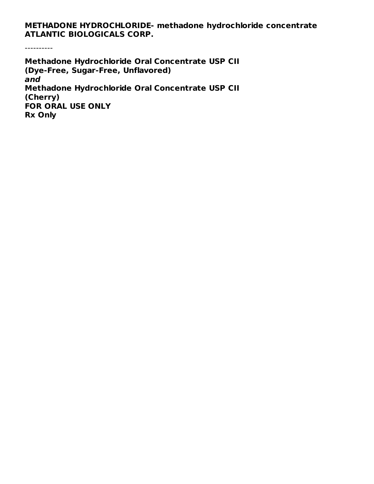**METHADONE HYDROCHLORIDE- methadone hydrochloride concentrate ATLANTIC BIOLOGICALS CORP.**

----------

**Methadone Hydrochloride Oral Concentrate USP CII (Dye-Free, Sugar-Free, Unflavored) and Methadone Hydrochloride Oral Concentrate USP CII (Cherry) FOR ORAL USE ONLY Rx Only**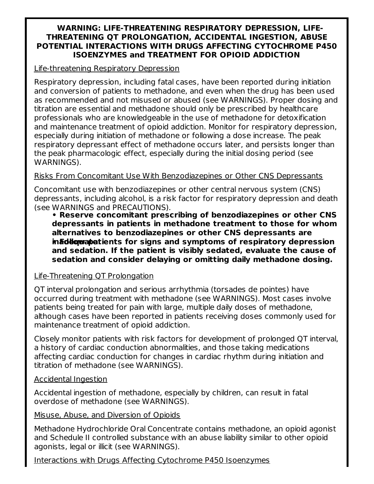#### **WARNING: LIFE-THREATENING RESPIRATORY DEPRESSION, LIFE-THREATENING QT PROLONGATION, ACCIDENTAL INGESTION, ABUSE POTENTIAL INTERACTIONS WITH DRUGS AFFECTING CYTOCHROME P450 ISOENZYMES and TREATMENT FOR OPIOID ADDICTION**

#### Life-threatening Respiratory Depression

Respiratory depression, including fatal cases, have been reported during initiation and conversion of patients to methadone, and even when the drug has been used as recommended and not misused or abused (see WARNINGS). Proper dosing and titration are essential and methadone should only be prescribed by healthcare professionals who are knowledgeable in the use of methadone for detoxification and maintenance treatment of opioid addiction. Monitor for respiratory depression, especially during initiation of methadone or following a dose increase. The peak respiratory depressant effect of methadone occurs later, and persists longer than the peak pharmacologic effect, especially during the initial dosing period (see WARNINGS).

#### Risks From Concomitant Use With Benzodiazepines or Other CNS Depressants

Concomitant use with benzodiazepines or other central nervous system (CNS) depressants, including alcohol, is a risk factor for respiratory depression and death (see WARNINGS and PRECAUTIONS).

**• Reserve concomitant prescribing of benzodiazepines or other CNS depressants in patients in methadone treatment to those for whom alternatives to benzodiazepines or other CNS depressants are inable and** *stage as dependents* **for** signs and symptoms of respiratory depression **and sedation. If the patient is visibly sedated, evaluate the cause of sedation and consider delaying or omitting daily methadone dosing.**

#### Life-Threatening QT Prolongation

QT interval prolongation and serious arrhythmia (torsades de pointes) have occurred during treatment with methadone (see WARNINGS). Most cases involve patients being treated for pain with large, multiple daily doses of methadone, although cases have been reported in patients receiving doses commonly used for maintenance treatment of opioid addiction.

Closely monitor patients with risk factors for development of prolonged QT interval, a history of cardiac conduction abnormalities, and those taking medications affecting cardiac conduction for changes in cardiac rhythm during initiation and titration of methadone (see WARNINGS).

#### Accidental Ingestion

Accidental ingestion of methadone, especially by children, can result in fatal overdose of methadone (see WARNINGS).

#### Misuse, Abuse, and Diversion of Opioids

Methadone Hydrochloride Oral Concentrate contains methadone, an opioid agonist and Schedule II controlled substance with an abuse liability similar to other opioid agonists, legal or illicit (see WARNINGS).

#### Interactions with Drugs Affecting Cytochrome P450 Isoenzymes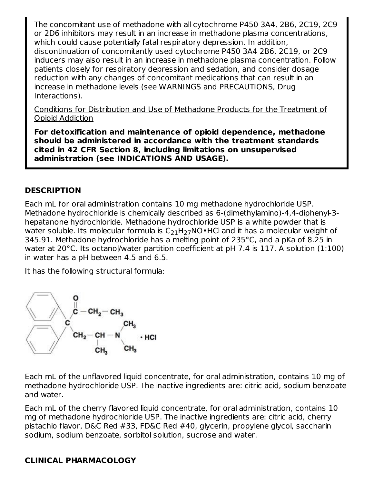The concomitant use of methadone with all cytochrome P450 3A4, 2B6, 2C19, 2C9 or 2D6 inhibitors may result in an increase in methadone plasma concentrations, which could cause potentially fatal respiratory depression. In addition, discontinuation of concomitantly used cytochrome P450 3A4 2B6, 2C19, or 2C9 inducers may also result in an increase in methadone plasma concentration. Follow patients closely for respiratory depression and sedation, and consider dosage reduction with any changes of concomitant medications that can result in an increase in methadone levels (see WARNINGS and PRECAUTIONS, Drug Interactions).

Conditions for Distribution and Use of Methadone Products for the Treatment of Opioid Addiction

**For detoxification and maintenance of opioid dependence, methadone should be administered in accordance with the treatment standards cited in 42 CFR Section 8, including limitations on unsupervised administration (see INDICATIONS AND USAGE).**

#### **DESCRIPTION**

Each mL for oral administration contains 10 mg methadone hydrochloride USP. Methadone hydrochloride is chemically described as 6-(dimethylamino)-4,4-diphenyl-3 hepatanone hydrochloride. Methadone hydrochloride USP is a white powder that is water soluble. Its molecular formula is  $\mathsf{C}_{21}\mathsf{H}_{27}\mathsf{NO}\bullet\mathsf{HC}$ l and it has a molecular weight of 345.91. Methadone hydrochloride has a melting point of 235°C, and a pKa of 8.25 in water at 20°C. Its octanol/water partition coefficient at pH 7.4 is 117. A solution (1:100) in water has a pH between 4.5 and 6.5.

It has the following structural formula:



Each mL of the unflavored liquid concentrate, for oral administration, contains 10 mg of methadone hydrochloride USP. The inactive ingredients are: citric acid, sodium benzoate and water.

Each mL of the cherry flavored liquid concentrate, for oral administration, contains 10 mg of methadone hydrochloride USP. The inactive ingredients are: citric acid, cherry pistachio flavor, D&C Red #33, FD&C Red #40, glycerin, propylene glycol, saccharin sodium, sodium benzoate, sorbitol solution, sucrose and water.

#### **CLINICAL PHARMACOLOGY**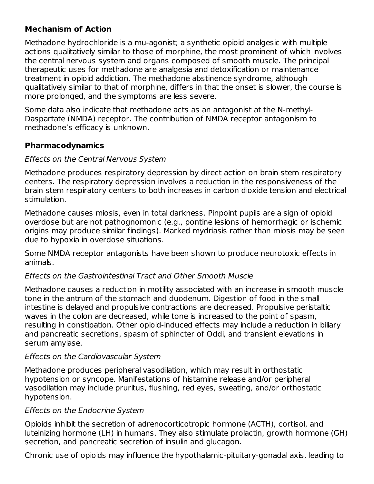#### **Mechanism of Action**

Methadone hydrochloride is a mu-agonist; a synthetic opioid analgesic with multiple actions qualitatively similar to those of morphine, the most prominent of which involves the central nervous system and organs composed of smooth muscle. The principal therapeutic uses for methadone are analgesia and detoxification or maintenance treatment in opioid addiction. The methadone abstinence syndrome, although qualitatively similar to that of morphine, differs in that the onset is slower, the course is more prolonged, and the symptoms are less severe.

Some data also indicate that methadone acts as an antagonist at the N-methyl-Daspartate (NMDA) receptor. The contribution of NMDA receptor antagonism to methadone's efficacy is unknown.

#### **Pharmacodynamics**

#### Effects on the Central Nervous System

Methadone produces respiratory depression by direct action on brain stem respiratory centers. The respiratory depression involves a reduction in the responsiveness of the brain stem respiratory centers to both increases in carbon dioxide tension and electrical stimulation.

Methadone causes miosis, even in total darkness. Pinpoint pupils are a sign of opioid overdose but are not pathognomonic (e.g., pontine lesions of hemorrhagic or ischemic origins may produce similar findings). Marked mydriasis rather than miosis may be seen due to hypoxia in overdose situations.

Some NMDA receptor antagonists have been shown to produce neurotoxic effects in animals.

#### Effects on the Gastrointestinal Tract and Other Smooth Muscle

Methadone causes a reduction in motility associated with an increase in smooth muscle tone in the antrum of the stomach and duodenum. Digestion of food in the small intestine is delayed and propulsive contractions are decreased. Propulsive peristaltic waves in the colon are decreased, while tone is increased to the point of spasm, resulting in constipation. Other opioid-induced effects may include a reduction in biliary and pancreatic secretions, spasm of sphincter of Oddi, and transient elevations in serum amylase.

#### Effects on the Cardiovascular System

Methadone produces peripheral vasodilation, which may result in orthostatic hypotension or syncope. Manifestations of histamine release and/or peripheral vasodilation may include pruritus, flushing, red eyes, sweating, and/or orthostatic hypotension.

#### Effects on the Endocrine System

Opioids inhibit the secretion of adrenocorticotropic hormone (ACTH), cortisol, and luteinizing hormone (LH) in humans. They also stimulate prolactin, growth hormone (GH) secretion, and pancreatic secretion of insulin and glucagon.

Chronic use of opioids may influence the hypothalamic-pituitary-gonadal axis, leading to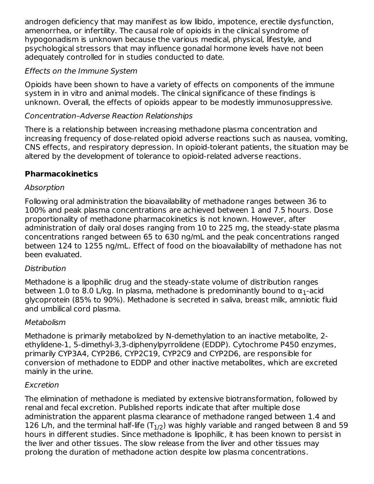androgen deficiency that may manifest as low libido, impotence, erectile dysfunction, amenorrhea, or infertility. The causal role of opioids in the clinical syndrome of hypogonadism is unknown because the various medical, physical, lifestyle, and psychological stressors that may influence gonadal hormone levels have not been adequately controlled for in studies conducted to date.

#### Effects on the Immune System

Opioids have been shown to have a variety of effects on components of the immune system in in vitro and animal models. The clinical significance of these findings is unknown. Overall, the effects of opioids appear to be modestly immunosuppressive.

#### Concentration–Adverse Reaction Relationships

There is a relationship between increasing methadone plasma concentration and increasing frequency of dose-related opioid adverse reactions such as nausea, vomiting, CNS effects, and respiratory depression. In opioid-tolerant patients, the situation may be altered by the development of tolerance to opioid-related adverse reactions.

#### **Pharmacokinetics**

#### Absorption

Following oral administration the bioavailability of methadone ranges between 36 to 100% and peak plasma concentrations are achieved between 1 and 7.5 hours. Dose proportionality of methadone pharmacokinetics is not known. However, after administration of daily oral doses ranging from 10 to 225 mg, the steady-state plasma concentrations ranged between 65 to 630 ng/mL and the peak concentrations ranged between 124 to 1255 ng/mL. Effect of food on the bioavailability of methadone has not been evaluated.

#### **Distribution**

Methadone is a lipophilic drug and the steady-state volume of distribution ranges between 1.0 to 8.0 L/kg. In plasma, methadone is predominantly bound to  $\alpha_1$ -acid glycoprotein (85% to 90%). Methadone is secreted in saliva, breast milk, amniotic fluid and umbilical cord plasma.

#### Metabolism

Methadone is primarily metabolized by N-demethylation to an inactive metabolite, 2 ethylidene-1, 5-dimethyl-3,3-diphenylpyrrolidene (EDDP). Cytochrome P450 enzymes, primarily CYP3A4, CYP2B6, CYP2C19, CYP2C9 and CYP2D6, are responsible for conversion of methadone to EDDP and other inactive metabolites, which are excreted mainly in the urine.

#### Excretion

The elimination of methadone is mediated by extensive biotransformation, followed by renal and fecal excretion. Published reports indicate that after multiple dose administration the apparent plasma clearance of methadone ranged between 1.4 and 126 L/h, and the terminal half-life (T $_{\rm 1/2}$ ) was highly variable and ranged between 8 and 59 hours in different studies. Since methadone is lipophilic, it has been known to persist in the liver and other tissues. The slow release from the liver and other tissues may prolong the duration of methadone action despite low plasma concentrations.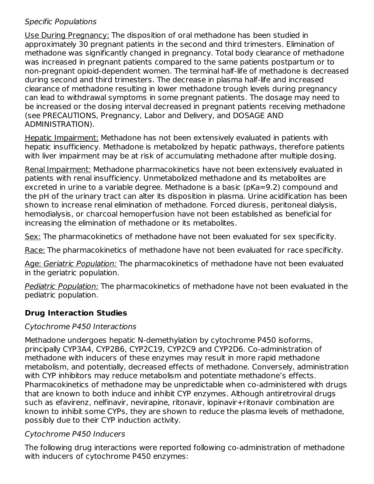#### Specific Populations

Use During Pregnancy: The disposition of oral methadone has been studied in approximately 30 pregnant patients in the second and third trimesters. Elimination of methadone was significantly changed in pregnancy. Total body clearance of methadone was increased in pregnant patients compared to the same patients postpartum or to non-pregnant opioid-dependent women. The terminal half-life of methadone is decreased during second and third trimesters. The decrease in plasma half-life and increased clearance of methadone resulting in lower methadone trough levels during pregnancy can lead to withdrawal symptoms in some pregnant patients. The dosage may need to be increased or the dosing interval decreased in pregnant patients receiving methadone (see PRECAUTIONS, Pregnancy, Labor and Delivery, and DOSAGE AND ADMINISTRATION).

Hepatic Impairment: Methadone has not been extensively evaluated in patients with hepatic insufficiency. Methadone is metabolized by hepatic pathways, therefore patients with liver impairment may be at risk of accumulating methadone after multiple dosing.

Renal Impairment: Methadone pharmacokinetics have not been extensively evaluated in patients with renal insufficiency. Unmetabolized methadone and its metabolites are excreted in urine to a variable degree. Methadone is a basic (pKa=9.2) compound and the pH of the urinary tract can alter its disposition in plasma. Urine acidification has been shown to increase renal elimination of methadone. Forced diuresis, peritoneal dialysis, hemodialysis, or charcoal hemoperfusion have not been established as beneficial for increasing the elimination of methadone or its metabolites.

Sex: The pharmacokinetics of methadone have not been evaluated for sex specificity.

Race: The pharmacokinetics of methadone have not been evaluated for race specificity.

Age: Geriatric Population: The pharmacokinetics of methadone have not been evaluated in the geriatric population.

Pediatric Population: The pharmacokinetics of methadone have not been evaluated in the pediatric population.

#### **Drug Interaction Studies**

#### Cytochrome P450 Interactions

Methadone undergoes hepatic N-demethylation by cytochrome P450 isoforms, principally CYP3A4, CYP2B6, CYP2C19, CYP2C9 and CYP2D6. Co-administration of methadone with inducers of these enzymes may result in more rapid methadone metabolism, and potentially, decreased effects of methadone. Conversely, administration with CYP inhibitors may reduce metabolism and potentiate methadone's effects. Pharmacokinetics of methadone may be unpredictable when co-administered with drugs that are known to both induce and inhibit CYP enzymes. Although antiretroviral drugs such as efavirenz, nelfinavir, nevirapine, ritonavir, lopinavir+ritonavir combination are known to inhibit some CYPs, they are shown to reduce the plasma levels of methadone, possibly due to their CYP induction activity.

#### Cytochrome P450 Inducers

The following drug interactions were reported following co-administration of methadone with inducers of cytochrome P450 enzymes: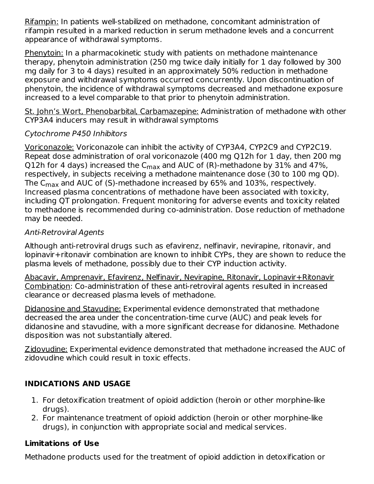Rifampin: In patients well-stabilized on methadone, concomitant administration of rifampin resulted in a marked reduction in serum methadone levels and a concurrent appearance of withdrawal symptoms.

Phenytoin: In a pharmacokinetic study with patients on methadone maintenance therapy, phenytoin administration (250 mg twice daily initially for 1 day followed by 300 mg daily for 3 to 4 days) resulted in an approximately 50% reduction in methadone exposure and withdrawal symptoms occurred concurrently. Upon discontinuation of phenytoin, the incidence of withdrawal symptoms decreased and methadone exposure increased to a level comparable to that prior to phenytoin administration.

St. John's Wort, Phenobarbital, Carbamazepine: Administration of methadone with other CYP3A4 inducers may result in withdrawal symptoms

#### Cytochrome P450 Inhibitors

Voriconazole: Voriconazole can inhibit the activity of CYP3A4, CYP2C9 and CYP2C19. Repeat dose administration of oral voriconazole (400 mg Q12h for 1 day, then 200 mg Q12h for 4 days) increased the C $_{\sf max}$  and AUC of (R)-methadone by 31% and 47%, respectively, in subjects receiving a methadone maintenance dose (30 to 100 mg QD). The C $_{\sf max}$  and AUC of (S)-methadone increased by 65% and 103%, respectively. Increased plasma concentrations of methadone have been associated with toxicity, including QT prolongation. Frequent monitoring for adverse events and toxicity related to methadone is recommended during co-administration. Dose reduction of methadone may be needed.

#### Anti-Retroviral Agents

Although anti-retroviral drugs such as efavirenz, nelfinavir, nevirapine, ritonavir, and lopinavir+ritonavir combination are known to inhibit CYPs, they are shown to reduce the plasma levels of methadone, possibly due to their CYP induction activity.

Abacavir, Amprenavir, Efavirenz, Nelfinavir, Nevirapine, Ritonavir, Lopinavir+Ritonavir Combination: Co-administration of these anti-retroviral agents resulted in increased clearance or decreased plasma levels of methadone.

Didanosine and Stavudine: Experimental evidence demonstrated that methadone decreased the area under the concentration-time curve (AUC) and peak levels for didanosine and stavudine, with a more significant decrease for didanosine. Methadone disposition was not substantially altered.

Zidovudine: Experimental evidence demonstrated that methadone increased the AUC of zidovudine which could result in toxic effects.

#### **INDICATIONS AND USAGE**

- 1. For detoxification treatment of opioid addiction (heroin or other morphine-like drugs).
- 2. For maintenance treatment of opioid addiction (heroin or other morphine-like drugs), in conjunction with appropriate social and medical services.

#### **Limitations of Use**

Methadone products used for the treatment of opioid addiction in detoxification or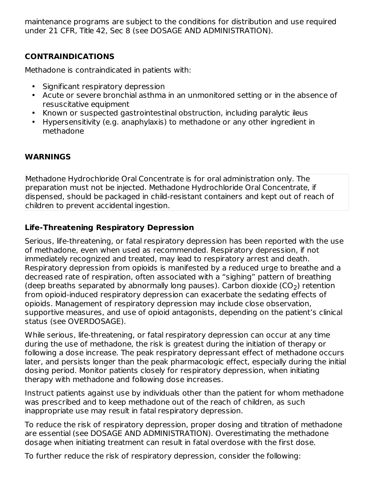maintenance programs are subject to the conditions for distribution and use required under 21 CFR, Title 42, Sec 8 (see DOSAGE AND ADMINISTRATION).

## **CONTRAINDICATIONS**

Methadone is contraindicated in patients with:

- Significant respiratory depression
- Acute or severe bronchial asthma in an unmonitored setting or in the absence of resuscitative equipment
- Known or suspected gastrointestinal obstruction, including paralytic ileus
- Hypersensitivity (e.g. anaphylaxis) to methadone or any other ingredient in methadone

#### **WARNINGS**

Methadone Hydrochloride Oral Concentrate is for oral administration only. The preparation must not be injected. Methadone Hydrochloride Oral Concentrate, if dispensed, should be packaged in child-resistant containers and kept out of reach of children to prevent accidental ingestion.

#### **Life-Threatening Respiratory Depression**

Serious, life-threatening, or fatal respiratory depression has been reported with the use of methadone, even when used as recommended. Respiratory depression, if not immediately recognized and treated, may lead to respiratory arrest and death. Respiratory depression from opioids is manifested by a reduced urge to breathe and a decreased rate of respiration, often associated with a "sighing" pattern of breathing (deep breaths separated by abnormally long pauses). Carbon dioxide (CO<sub>2</sub>) retention from opioid-induced respiratory depression can exacerbate the sedating effects of opioids. Management of respiratory depression may include close observation, supportive measures, and use of opioid antagonists, depending on the patient's clinical status (see OVERDOSAGE).

While serious, life-threatening, or fatal respiratory depression can occur at any time during the use of methadone, the risk is greatest during the initiation of therapy or following a dose increase. The peak respiratory depressant effect of methadone occurs later, and persists longer than the peak pharmacologic effect, especially during the initial dosing period. Monitor patients closely for respiratory depression, when initiating therapy with methadone and following dose increases.

Instruct patients against use by individuals other than the patient for whom methadone was prescribed and to keep methadone out of the reach of children, as such inappropriate use may result in fatal respiratory depression.

To reduce the risk of respiratory depression, proper dosing and titration of methadone are essential (see DOSAGE AND ADMINISTRATION). Overestimating the methadone dosage when initiating treatment can result in fatal overdose with the first dose.

To further reduce the risk of respiratory depression, consider the following: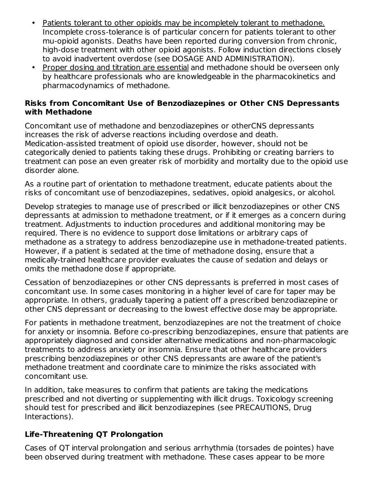- Patients tolerant to other opioids may be incompletely tolerant to methadone. Incomplete cross-tolerance is of particular concern for patients tolerant to other mu-opioid agonists. Deaths have been reported during conversion from chronic, high-dose treatment with other opioid agonists. Follow induction directions closely to avoid inadvertent overdose (see DOSAGE AND ADMINISTRATION).
- Proper dosing and titration are essential and methadone should be overseen only by healthcare professionals who are knowledgeable in the pharmacokinetics and pharmacodynamics of methadone.

#### **Risks from Concomitant Use of Benzodiazepines or Other CNS Depressants with Methadone**

Concomitant use of methadone and benzodiazepines or otherCNS depressants increases the risk of adverse reactions including overdose and death. Medication-assisted treatment of opioid use disorder, however, should not be categorically denied to patients taking these drugs. Prohibiting or creating barriers to treatment can pose an even greater risk of morbidity and mortality due to the opioid use disorder alone.

As a routine part of orientation to methadone treatment, educate patients about the risks of concomitant use of benzodiazepines, sedatives, opioid analgesics, or alcohol.

Develop strategies to manage use of prescribed or illicit benzodiazepines or other CNS depressants at admission to methadone treatment, or if it emerges as a concern during treatment. Adjustments to induction procedures and additional monitoring may be required. There is no evidence to support dose limitations or arbitrary caps of methadone as a strategy to address benzodiazepine use in methadone-treated patients. However, if a patient is sedated at the time of methadone dosing, ensure that a medically-trained healthcare provider evaluates the cause of sedation and delays or omits the methadone dose if appropriate.

Cessation of benzodiazepines or other CNS depressants is preferred in most cases of concomitant use. In some cases monitoring in a higher level of care for taper may be appropriate. In others, gradually tapering a patient off a prescribed benzodiazepine or other CNS depressant or decreasing to the lowest effective dose may be appropriate.

For patients in methadone treatment, benzodiazepines are not the treatment of choice for anxiety or insomnia. Before co-prescribing benzodiazepines, ensure that patients are appropriately diagnosed and consider alternative medications and non-pharmacologic treatments to address anxiety or insomnia. Ensure that other healthcare providers prescribing benzodiazepines or other CNS depressants are aware of the patient's methadone treatment and coordinate care to minimize the risks associated with concomitant use.

In addition, take measures to confirm that patients are taking the medications prescribed and not diverting or supplementing with illicit drugs. Toxicology screening should test for prescribed and illicit benzodiazepines (see PRECAUTIONS, Drug Interactions).

#### **Life-Threatening QT Prolongation**

Cases of QT interval prolongation and serious arrhythmia (torsades de pointes) have been observed during treatment with methadone. These cases appear to be more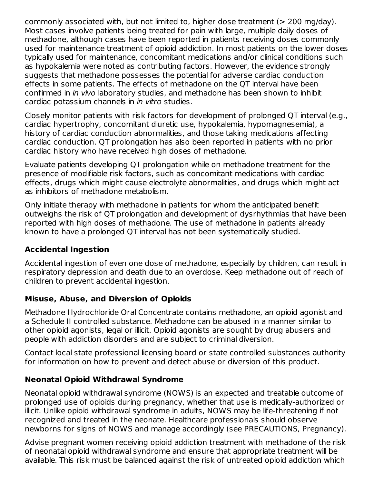commonly associated with, but not limited to, higher dose treatment (> 200 mg/day). Most cases involve patients being treated for pain with large, multiple daily doses of methadone, although cases have been reported in patients receiving doses commonly used for maintenance treatment of opioid addiction. In most patients on the lower doses typically used for maintenance, concomitant medications and/or clinical conditions such as hypokalemia were noted as contributing factors. However, the evidence strongly suggests that methadone possesses the potential for adverse cardiac conduction effects in some patients. The effects of methadone on the QT interval have been confirmed in in vivo laboratory studies, and methadone has been shown to inhibit cardiac potassium channels in in vitro studies.

Closely monitor patients with risk factors for development of prolonged QT interval (e.g., cardiac hypertrophy, concomitant diuretic use, hypokalemia, hypomagnesemia), a history of cardiac conduction abnormalities, and those taking medications affecting cardiac conduction. QT prolongation has also been reported in patients with no prior cardiac history who have received high doses of methadone.

Evaluate patients developing QT prolongation while on methadone treatment for the presence of modifiable risk factors, such as concomitant medications with cardiac effects, drugs which might cause electrolyte abnormalities, and drugs which might act as inhibitors of methadone metabolism.

Only initiate therapy with methadone in patients for whom the anticipated benefit outweighs the risk of QT prolongation and development of dysrhythmias that have been reported with high doses of methadone. The use of methadone in patients already known to have a prolonged QT interval has not been systematically studied.

#### **Accidental Ingestion**

Accidental ingestion of even one dose of methadone, especially by children, can result in respiratory depression and death due to an overdose. Keep methadone out of reach of children to prevent accidental ingestion.

#### **Misuse, Abuse, and Diversion of Opioids**

Methadone Hydrochloride Oral Concentrate contains methadone, an opioid agonist and a Schedule II controlled substance. Methadone can be abused in a manner similar to other opioid agonists, legal or illicit. Opioid agonists are sought by drug abusers and people with addiction disorders and are subject to criminal diversion.

Contact local state professional licensing board or state controlled substances authority for information on how to prevent and detect abuse or diversion of this product.

## **Neonatal Opioid Withdrawal Syndrome**

Neonatal opioid withdrawal syndrome (NOWS) is an expected and treatable outcome of prolonged use of opioids during pregnancy, whether that use is medically-authorized or illicit. Unlike opioid withdrawal syndrome in adults, NOWS may be life-threatening if not recognized and treated in the neonate. Healthcare professionals should observe newborns for signs of NOWS and manage accordingly (see PRECAUTIONS, Pregnancy).

Advise pregnant women receiving opioid addiction treatment with methadone of the risk of neonatal opioid withdrawal syndrome and ensure that appropriate treatment will be available. This risk must be balanced against the risk of untreated opioid addiction which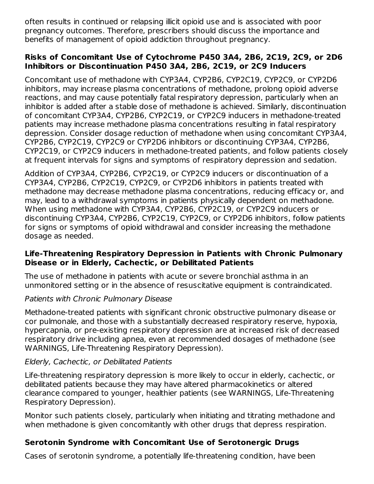often results in continued or relapsing illicit opioid use and is associated with poor pregnancy outcomes. Therefore, prescribers should discuss the importance and benefits of management of opioid addiction throughout pregnancy.

#### **Risks of Concomitant Use of Cytochrome P450 3A4, 2B6, 2C19, 2C9, or 2D6 Inhibitors or Discontinuation P450 3A4, 2B6, 2C19, or 2C9 Inducers**

Concomitant use of methadone with CYP3A4, CYP2B6, CYP2C19, CYP2C9, or CYP2D6 inhibitors, may increase plasma concentrations of methadone, prolong opioid adverse reactions, and may cause potentially fatal respiratory depression, particularly when an inhibitor is added after a stable dose of methadone is achieved. Similarly, discontinuation of concomitant CYP3A4, CYP2B6, CYP2C19, or CYP2C9 inducers in methadone-treated patients may increase methadone plasma concentrations resulting in fatal respiratory depression. Consider dosage reduction of methadone when using concomitant CYP3A4, CYP2B6, CYP2C19, CYP2C9 or CYP2D6 inhibitors or discontinuing CYP3A4, CYP2B6, CYP2C19, or CYP2C9 inducers in methadone-treated patients, and follow patients closely at frequent intervals for signs and symptoms of respiratory depression and sedation.

Addition of CYP3A4, CYP2B6, CYP2C19, or CYP2C9 inducers or discontinuation of a CYP3A4, CYP2B6, CYP2C19, CYP2C9, or CYP2D6 inhibitors in patients treated with methadone may decrease methadone plasma concentrations, reducing efficacy or, and may, lead to a withdrawal symptoms in patients physically dependent on methadone. When using methadone with CYP3A4, CYP2B6, CYP2C19, or CYP2C9 inducers or discontinuing CYP3A4, CYP2B6, CYP2C19, CYP2C9, or CYP2D6 inhibitors, follow patients for signs or symptoms of opioid withdrawal and consider increasing the methadone dosage as needed.

#### **Life-Threatening Respiratory Depression in Patients with Chronic Pulmonary Disease or in Elderly, Cachectic, or Debilitated Patients**

The use of methadone in patients with acute or severe bronchial asthma in an unmonitored setting or in the absence of resuscitative equipment is contraindicated.

#### Patients with Chronic Pulmonary Disease

Methadone-treated patients with significant chronic obstructive pulmonary disease or cor pulmonale, and those with a substantially decreased respiratory reserve, hypoxia, hypercapnia, or pre-existing respiratory depression are at increased risk of decreased respiratory drive including apnea, even at recommended dosages of methadone (see WARNINGS, Life-Threatening Respiratory Depression).

#### Elderly, Cachectic, or Debilitated Patients

Life-threatening respiratory depression is more likely to occur in elderly, cachectic, or debilitated patients because they may have altered pharmacokinetics or altered clearance compared to younger, healthier patients (see WARNINGS, Life-Threatening Respiratory Depression).

Monitor such patients closely, particularly when initiating and titrating methadone and when methadone is given concomitantly with other drugs that depress respiration.

#### **Serotonin Syndrome with Concomitant Use of Serotonergic Drugs**

Cases of serotonin syndrome, a potentially life-threatening condition, have been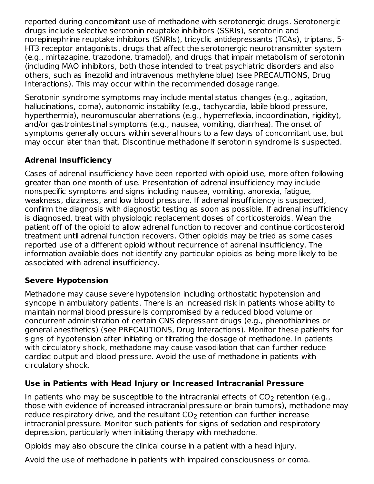reported during concomitant use of methadone with serotonergic drugs. Serotonergic drugs include selective serotonin reuptake inhibitors (SSRIs), serotonin and norepinephrine reuptake inhibitors (SNRIs), tricyclic antidepressants (TCAs), triptans, 5- HT3 receptor antagonists, drugs that affect the serotonergic neurotransmitter system (e.g., mirtazapine, trazodone, tramadol), and drugs that impair metabolism of serotonin (including MAO inhibitors, both those intended to treat psychiatric disorders and also others, such as linezolid and intravenous methylene blue) (see PRECAUTIONS, Drug Interactions). This may occur within the recommended dosage range.

Serotonin syndrome symptoms may include mental status changes (e.g., agitation, hallucinations, coma), autonomic instability (e.g., tachycardia, labile blood pressure, hyperthermia), neuromuscular aberrations (e.g., hyperreflexia, incoordination, rigidity), and/or gastrointestinal symptoms (e.g., nausea, vomiting, diarrhea). The onset of symptoms generally occurs within several hours to a few days of concomitant use, but may occur later than that. Discontinue methadone if serotonin syndrome is suspected.

## **Adrenal Insufficiency**

Cases of adrenal insufficiency have been reported with opioid use, more often following greater than one month of use. Presentation of adrenal insufficiency may include nonspecific symptoms and signs including nausea, vomiting, anorexia, fatigue, weakness, dizziness, and low blood pressure. If adrenal insufficiency is suspected, confirm the diagnosis with diagnostic testing as soon as possible. If adrenal insufficiency is diagnosed, treat with physiologic replacement doses of corticosteroids. Wean the patient off of the opioid to allow adrenal function to recover and continue corticosteroid treatment until adrenal function recovers. Other opioids may be tried as some cases reported use of a different opioid without recurrence of adrenal insufficiency. The information available does not identify any particular opioids as being more likely to be associated with adrenal insufficiency.

#### **Severe Hypotension**

Methadone may cause severe hypotension including orthostatic hypotension and syncope in ambulatory patients. There is an increased risk in patients whose ability to maintain normal blood pressure is compromised by a reduced blood volume or concurrent administration of certain CNS depressant drugs (e.g., phenothiazines or general anesthetics) (see PRECAUTIONS, Drug Interactions). Monitor these patients for signs of hypotension after initiating or titrating the dosage of methadone. In patients with circulatory shock, methadone may cause vasodilation that can further reduce cardiac output and blood pressure. Avoid the use of methadone in patients with circulatory shock.

#### **Use in Patients with Head Injury or Increased Intracranial Pressure**

In patients who may be susceptible to the intracranial effects of CO<sub>2</sub> retention (e.g., those with evidence of increased intracranial pressure or brain tumors), methadone may reduce respiratory drive, and the resultant  $\mathsf{CO}_2$  retention can further increase intracranial pressure. Monitor such patients for signs of sedation and respiratory depression, particularly when initiating therapy with methadone.

Opioids may also obscure the clinical course in a patient with a head injury.

Avoid the use of methadone in patients with impaired consciousness or coma.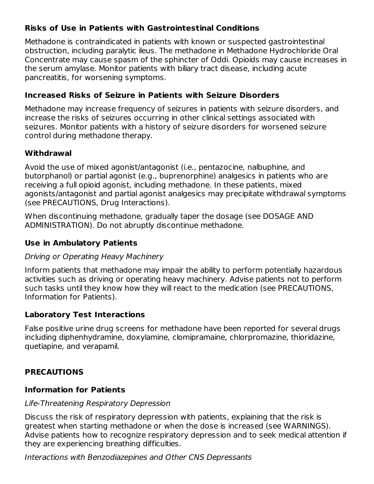## **Risks of Use in Patients with Gastrointestinal Conditions**

Methadone is contraindicated in patients with known or suspected gastrointestinal obstruction, including paralytic ileus. The methadone in Methadone Hydrochloride Oral Concentrate may cause spasm of the sphincter of Oddi. Opioids may cause increases in the serum amylase. Monitor patients with biliary tract disease, including acute pancreatitis, for worsening symptoms.

#### **Increased Risks of Seizure in Patients with Seizure Disorders**

Methadone may increase frequency of seizures in patients with seizure disorders, and increase the risks of seizures occurring in other clinical settings associated with seizures. Monitor patients with a history of seizure disorders for worsened seizure control during methadone therapy.

## **Withdrawal**

Avoid the use of mixed agonist/antagonist (i.e., pentazocine, nalbuphine, and butorphanol) or partial agonist (e.g., buprenorphine) analgesics in patients who are receiving a full opioid agonist, including methadone. In these patients, mixed agonists/antagonist and partial agonist analgesics may precipitate withdrawal symptoms (see PRECAUTIONS, Drug Interactions).

When discontinuing methadone, gradually taper the dosage (see DOSAGE AND ADMINISTRATION). Do not abruptly discontinue methadone.

## **Use in Ambulatory Patients**

## Driving or Operating Heavy Machinery

Inform patients that methadone may impair the ability to perform potentially hazardous activities such as driving or operating heavy machinery. Advise patients not to perform such tasks until they know how they will react to the medication (see PRECAUTIONS, Information for Patients).

## **Laboratory Test Interactions**

False positive urine drug screens for methadone have been reported for several drugs including diphenhydramine, doxylamine, clomipramaine, chlorpromazine, thioridazine, quetiapine, and verapamil.

# **PRECAUTIONS**

## **Information for Patients**

#### Life-Threatening Respiratory Depression

Discuss the risk of respiratory depression with patients, explaining that the risk is greatest when starting methadone or when the dose is increased (see WARNINGS). Advise patients how to recognize respiratory depression and to seek medical attention if they are experiencing breathing difficulties.

Interactions with Benzodiazepines and Other CNS Depressants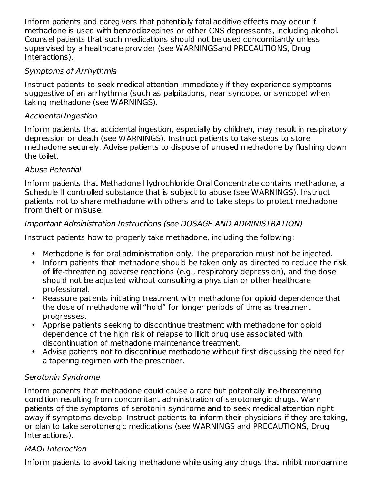Inform patients and caregivers that potentially fatal additive effects may occur if methadone is used with benzodiazepines or other CNS depressants, including alcohol. Counsel patients that such medications should not be used concomitantly unless supervised by a healthcare provider (see WARNINGSand PRECAUTIONS, Drug Interactions).

#### Symptoms of Arrhythmia

Instruct patients to seek medical attention immediately if they experience symptoms suggestive of an arrhythmia (such as palpitations, near syncope, or syncope) when taking methadone (see WARNINGS).

#### Accidental Ingestion

Inform patients that accidental ingestion, especially by children, may result in respiratory depression or death (see WARNINGS). Instruct patients to take steps to store methadone securely. Advise patients to dispose of unused methadone by flushing down the toilet.

#### Abuse Potential

Inform patients that Methadone Hydrochloride Oral Concentrate contains methadone, a Schedule II controlled substance that is subject to abuse (see WARNINGS). Instruct patients not to share methadone with others and to take steps to protect methadone from theft or misuse.

#### Important Administration Instructions (see DOSAGE AND ADMINISTRATION)

Instruct patients how to properly take methadone, including the following:

- Methadone is for oral administration only. The preparation must not be injected.
- Inform patients that methadone should be taken only as directed to reduce the risk of life-threatening adverse reactions (e.g., respiratory depression), and the dose should not be adjusted without consulting a physician or other healthcare professional.
- Reassure patients initiating treatment with methadone for opioid dependence that the dose of methadone will "hold" for longer periods of time as treatment progresses.
- Apprise patients seeking to discontinue treatment with methadone for opioid dependence of the high risk of relapse to illicit drug use associated with discontinuation of methadone maintenance treatment.
- Advise patients not to discontinue methadone without first discussing the need for a tapering regimen with the prescriber.

## Serotonin Syndrome

Inform patients that methadone could cause a rare but potentially life-threatening condition resulting from concomitant administration of serotonergic drugs. Warn patients of the symptoms of serotonin syndrome and to seek medical attention right away if symptoms develop. Instruct patients to inform their physicians if they are taking, or plan to take serotonergic medications (see WARNINGS and PRECAUTIONS, Drug Interactions).

## MAOI Interaction

Inform patients to avoid taking methadone while using any drugs that inhibit monoamine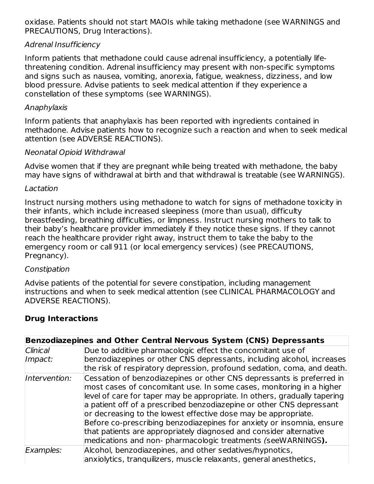oxidase. Patients should not start MAOIs while taking methadone (see WARNINGS and PRECAUTIONS, Drug Interactions).

#### Adrenal Insufficiency

Inform patients that methadone could cause adrenal insufficiency, a potentially lifethreatening condition. Adrenal insufficiency may present with non-specific symptoms and signs such as nausea, vomiting, anorexia, fatigue, weakness, dizziness, and low blood pressure. Advise patients to seek medical attention if they experience a constellation of these symptoms (see WARNINGS).

#### Anaphylaxis

Inform patients that anaphylaxis has been reported with ingredients contained in methadone. Advise patients how to recognize such a reaction and when to seek medical attention (see ADVERSE REACTIONS).

#### Neonatal Opioid Withdrawal

Advise women that if they are pregnant while being treated with methadone, the baby may have signs of withdrawal at birth and that withdrawal is treatable (see WARNINGS).

#### Lactation

Instruct nursing mothers using methadone to watch for signs of methadone toxicity in their infants, which include increased sleepiness (more than usual), difficulty breastfeeding, breathing difficulties, or limpness. Instruct nursing mothers to talk to their baby's healthcare provider immediately if they notice these signs. If they cannot reach the healthcare provider right away, instruct them to take the baby to the emergency room or call 911 (or local emergency services) (see PRECAUTIONS, Pregnancy).

#### **Constipation**

Advise patients of the potential for severe constipation, including management instructions and when to seek medical attention (see CLINICAL PHARMACOLOGY and ADVERSE REACTIONS).

#### **Drug Interactions**

| Benzodiazepines and Other Central Nervous System (CNS) Depressants |                                                                                                                                                                                                                                                                                                                                                                                                                                                                                                                                                                                     |  |  |  |
|--------------------------------------------------------------------|-------------------------------------------------------------------------------------------------------------------------------------------------------------------------------------------------------------------------------------------------------------------------------------------------------------------------------------------------------------------------------------------------------------------------------------------------------------------------------------------------------------------------------------------------------------------------------------|--|--|--|
| <b>Clinical</b>                                                    | Due to additive pharmacologic effect the concomitant use of                                                                                                                                                                                                                                                                                                                                                                                                                                                                                                                         |  |  |  |
| Impact:                                                            | benzodiazepines or other CNS depressants, including alcohol, increases<br>the risk of respiratory depression, profound sedation, coma, and death.                                                                                                                                                                                                                                                                                                                                                                                                                                   |  |  |  |
| Intervention:                                                      | Cessation of benzodiazepines or other CNS depressants is preferred in<br>most cases of concomitant use. In some cases, monitoring in a higher<br>level of care for taper may be appropriate. In others, gradually tapering<br>a patient off of a prescribed benzodiazepine or other CNS depressant<br>or decreasing to the lowest effective dose may be appropriate.<br>Before co-prescribing benzodiazepines for anxiety or insomnia, ensure<br>that patients are appropriately diagnosed and consider alternative<br>medications and non- pharmacologic treatments (seeWARNINGS). |  |  |  |
| Examples:                                                          | Alcohol, benzodiazepines, and other sedatives/hypnotics,<br>anxiolytics, tranguilizers, muscle relaxants, general anesthetics,                                                                                                                                                                                                                                                                                                                                                                                                                                                      |  |  |  |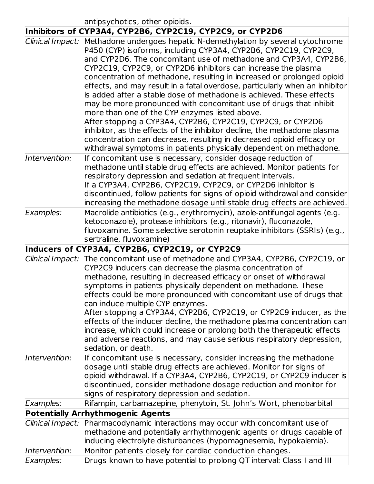|                  | antipsychotics, other opioids.<br>Inhibitors of CYP3A4, CYP2B6, CYP2C19, CYP2C9, or CYP2D6                                                                                                                                                                                                                                                                                                                                                                                                                                                                                                                                                                                                                                                                                                                                                                                                                                                   |
|------------------|----------------------------------------------------------------------------------------------------------------------------------------------------------------------------------------------------------------------------------------------------------------------------------------------------------------------------------------------------------------------------------------------------------------------------------------------------------------------------------------------------------------------------------------------------------------------------------------------------------------------------------------------------------------------------------------------------------------------------------------------------------------------------------------------------------------------------------------------------------------------------------------------------------------------------------------------|
|                  | Clinical Impact: Methadone undergoes hepatic N-demethylation by several cytochrome<br>P450 (CYP) isoforms, including CYP3A4, CYP2B6, CYP2C19, CYP2C9,<br>and CYP2D6. The concomitant use of methadone and CYP3A4, CYP2B6,<br>CYP2C19, CYP2C9, or CYP2D6 inhibitors can increase the plasma<br>concentration of methadone, resulting in increased or prolonged opioid<br>effects, and may result in a fatal overdose, particularly when an inhibitor<br>is added after a stable dose of methadone is achieved. These effects<br>may be more pronounced with concomitant use of drugs that inhibit<br>more than one of the CYP enzymes listed above.<br>After stopping a CYP3A4, CYP2B6, CYP2C19, CYP2C9, or CYP2D6<br>inhibitor, as the effects of the inhibitor decline, the methadone plasma<br>concentration can decrease, resulting in decreased opioid efficacy or<br>withdrawal symptoms in patients physically dependent on methadone. |
| Intervention:    | If concomitant use is necessary, consider dosage reduction of<br>methadone until stable drug effects are achieved. Monitor patients for<br>respiratory depression and sedation at frequent intervals.<br>If a CYP3A4, CYP2B6, CYP2C19, CYP2C9, or CYP2D6 inhibitor is<br>discontinued, follow patients for signs of opioid withdrawal and consider<br>increasing the methadone dosage until stable drug effects are achieved.                                                                                                                                                                                                                                                                                                                                                                                                                                                                                                                |
| Examples:        | Macrolide antibiotics (e.g., erythromycin), azole-antifungal agents (e.g.<br>ketoconazole), protease inhibitors (e.g., ritonavir), fluconazole,<br>fluvoxamine. Some selective serotonin reuptake inhibitors (SSRIs) (e.g.,<br>sertraline, fluvoxamine)                                                                                                                                                                                                                                                                                                                                                                                                                                                                                                                                                                                                                                                                                      |
|                  | Inducers of CYP3A4, CYP2B6, CYP2C19, or CYP2C9                                                                                                                                                                                                                                                                                                                                                                                                                                                                                                                                                                                                                                                                                                                                                                                                                                                                                               |
|                  | Clinical Impact: The concomitant use of methadone and CYP3A4, CYP2B6, CYP2C19, or<br>CYP2C9 inducers can decrease the plasma concentration of<br>methadone, resulting in decreased efficacy or onset of withdrawal<br>symptoms in patients physically dependent on methadone. These<br>effects could be more pronounced with concomitant use of drugs that<br>can induce multiple CYP enzymes.<br>After stopping a CYP3A4, CYP2B6, CYP2C19, or CYP2C9 inducer, as the<br>effects of the inducer decline, the methadone plasma concentration can<br>increase, which could increase or prolong both the therapeutic effects<br>and adverse reactions, and may cause serious respiratory depression,<br>sedation, or death.                                                                                                                                                                                                                     |
| Intervention:    | If concomitant use is necessary, consider increasing the methadone<br>dosage until stable drug effects are achieved. Monitor for signs of<br>opioid withdrawal. If a CYP3A4, CYP2B6, CYP2C19, or CYP2C9 inducer is<br>discontinued, consider methadone dosage reduction and monitor for<br>signs of respiratory depression and sedation.                                                                                                                                                                                                                                                                                                                                                                                                                                                                                                                                                                                                     |
| Examples:        | Rifampin, carbamazepine, phenytoin, St. John's Wort, phenobarbital                                                                                                                                                                                                                                                                                                                                                                                                                                                                                                                                                                                                                                                                                                                                                                                                                                                                           |
|                  | <b>Potentially Arrhythmogenic Agents</b>                                                                                                                                                                                                                                                                                                                                                                                                                                                                                                                                                                                                                                                                                                                                                                                                                                                                                                     |
| Clinical Impact: | Pharmacodynamic interactions may occur with concomitant use of<br>methadone and potentially arrhythmogenic agents or drugs capable of<br>inducing electrolyte disturbances (hypomagnesemia, hypokalemia).                                                                                                                                                                                                                                                                                                                                                                                                                                                                                                                                                                                                                                                                                                                                    |
| Intervention:    | Monitor patients closely for cardiac conduction changes.                                                                                                                                                                                                                                                                                                                                                                                                                                                                                                                                                                                                                                                                                                                                                                                                                                                                                     |
| Examples:        | Drugs known to have potential to prolong QT interval: Class I and III                                                                                                                                                                                                                                                                                                                                                                                                                                                                                                                                                                                                                                                                                                                                                                                                                                                                        |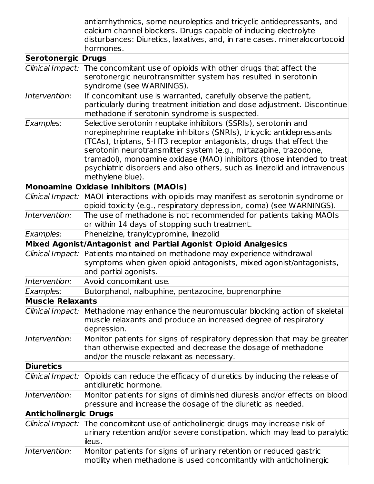|                              | antiarrhythmics, some neuroleptics and tricyclic antidepressants, and<br>calcium channel blockers. Drugs capable of inducing electrolyte<br>disturbances: Diuretics, laxatives, and, in rare cases, mineralocortocoid<br>hormones.                                                                                                                                                                                                                           |  |  |
|------------------------------|--------------------------------------------------------------------------------------------------------------------------------------------------------------------------------------------------------------------------------------------------------------------------------------------------------------------------------------------------------------------------------------------------------------------------------------------------------------|--|--|
| <b>Serotonergic Drugs</b>    |                                                                                                                                                                                                                                                                                                                                                                                                                                                              |  |  |
| Clinical Impact:             | The concomitant use of opioids with other drugs that affect the<br>serotonergic neurotransmitter system has resulted in serotonin<br>syndrome (see WARNINGS).                                                                                                                                                                                                                                                                                                |  |  |
| Intervention:                | If concomitant use is warranted, carefully observe the patient,<br>particularly during treatment initiation and dose adjustment. Discontinue<br>methadone if serotonin syndrome is suspected.                                                                                                                                                                                                                                                                |  |  |
| Examples:                    | Selective serotonin reuptake inhibitors (SSRIs), serotonin and<br>norepinephrine reuptake inhibitors (SNRIs), tricyclic antidepressants<br>(TCAs), triptans, 5-HT3 receptor antagonists, drugs that effect the<br>serotonin neurotransmitter system (e.g., mirtazapine, trazodone,<br>tramadol), monoamine oxidase (MAO) inhibitors (those intended to treat<br>psychiatric disorders and also others, such as linezolid and intravenous<br>methylene blue). |  |  |
|                              | Monoamine Oxidase Inhibitors (MAOIs)                                                                                                                                                                                                                                                                                                                                                                                                                         |  |  |
| Clinical Impact:             | MAOI interactions with opioids may manifest as serotonin syndrome or<br>opioid toxicity (e.g., respiratory depression, coma) (see WARNINGS).                                                                                                                                                                                                                                                                                                                 |  |  |
| Intervention:                | The use of methadone is not recommended for patients taking MAOIs<br>or within 14 days of stopping such treatment.                                                                                                                                                                                                                                                                                                                                           |  |  |
| Examples:                    | Phenelzine, tranylcypromine, linezolid                                                                                                                                                                                                                                                                                                                                                                                                                       |  |  |
|                              | Mixed Agonist/Antagonist and Partial Agonist Opioid Analgesics                                                                                                                                                                                                                                                                                                                                                                                               |  |  |
| Clinical Impact:             | Patients maintained on methadone may experience withdrawal<br>symptoms when given opioid antagonists, mixed agonist/antagonists,<br>and partial agonists.                                                                                                                                                                                                                                                                                                    |  |  |
| Intervention:                | Avoid concomitant use.                                                                                                                                                                                                                                                                                                                                                                                                                                       |  |  |
| Examples:                    | Butorphanol, nalbuphine, pentazocine, buprenorphine                                                                                                                                                                                                                                                                                                                                                                                                          |  |  |
| <b>Muscle Relaxants</b>      |                                                                                                                                                                                                                                                                                                                                                                                                                                                              |  |  |
| Clinical Impact:             | Methadone may enhance the neuromuscular blocking action of skeletal<br>muscle relaxants and produce an increased degree of respiratory<br>depression.                                                                                                                                                                                                                                                                                                        |  |  |
| Intervention:                | Monitor patients for signs of respiratory depression that may be greater<br>than otherwise expected and decrease the dosage of methadone<br>and/or the muscle relaxant as necessary.                                                                                                                                                                                                                                                                         |  |  |
| <b>Diuretics</b>             |                                                                                                                                                                                                                                                                                                                                                                                                                                                              |  |  |
| Clinical Impact:             | Opioids can reduce the efficacy of diuretics by inducing the release of<br>antidiuretic hormone.                                                                                                                                                                                                                                                                                                                                                             |  |  |
| Intervention:                | Monitor patients for signs of diminished diuresis and/or effects on blood<br>pressure and increase the dosage of the diuretic as needed.                                                                                                                                                                                                                                                                                                                     |  |  |
| <b>Anticholinergic Drugs</b> |                                                                                                                                                                                                                                                                                                                                                                                                                                                              |  |  |
| Clinical Impact:             | The concomitant use of anticholinergic drugs may increase risk of<br>urinary retention and/or severe constipation, which may lead to paralytic<br>ileus.                                                                                                                                                                                                                                                                                                     |  |  |
| Intervention:                | Monitor patients for signs of urinary retention or reduced gastric<br>motility when methadone is used concomitantly with anticholinergic                                                                                                                                                                                                                                                                                                                     |  |  |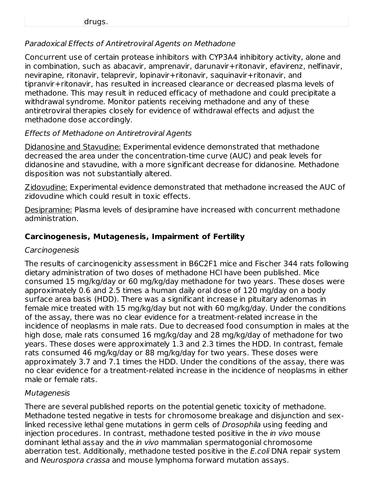#### Paradoxical Effects of Antiretroviral Agents on Methadone

Concurrent use of certain protease inhibitors with CYP3A4 inhibitory activity, alone and in combination, such as abacavir, amprenavir, darunavir+ritonavir, efavirenz, nelfinavir, nevirapine, ritonavir, telaprevir, lopinavir+ritonavir, saquinavir+ritonavir, and tipranvir+ritonavir, has resulted in increased clearance or decreased plasma levels of methadone. This may result in reduced efficacy of methadone and could precipitate a withdrawal syndrome. Monitor patients receiving methadone and any of these antiretroviral therapies closely for evidence of withdrawal effects and adjust the methadone dose accordingly.

#### Effects of Methadone on Antiretroviral Agents

Didanosine and Stavudine: Experimental evidence demonstrated that methadone decreased the area under the concentration-time curve (AUC) and peak levels for didanosine and stavudine, with a more significant decrease for didanosine. Methadone disposition was not substantially altered.

Zidovudine: Experimental evidence demonstrated that methadone increased the AUC of zidovudine which could result in toxic effects.

Desipramine: Plasma levels of desipramine have increased with concurrent methadone administration.

#### **Carcinogenesis, Mutagenesis, Impairment of Fertility**

#### **Carcinogenesis**

The results of carcinogenicity assessment in B6C2F1 mice and Fischer 344 rats following dietary administration of two doses of methadone HCl have been published. Mice consumed 15 mg/kg/day or 60 mg/kg/day methadone for two years. These doses were approximately 0.6 and 2.5 times a human daily oral dose of 120 mg/day on a body surface area basis (HDD). There was a significant increase in pituitary adenomas in female mice treated with 15 mg/kg/day but not with 60 mg/kg/day. Under the conditions of the assay, there was no clear evidence for a treatment-related increase in the incidence of neoplasms in male rats. Due to decreased food consumption in males at the high dose, male rats consumed 16 mg/kg/day and 28 mg/kg/day of methadone for two years. These doses were approximately 1.3 and 2.3 times the HDD. In contrast, female rats consumed 46 mg/kg/day or 88 mg/kg/day for two years. These doses were approximately 3.7 and 7.1 times the HDD. Under the conditions of the assay, there was no clear evidence for a treatment-related increase in the incidence of neoplasms in either male or female rats.

#### Mutagenesis

There are several published reports on the potential genetic toxicity of methadone. Methadone tested negative in tests for chromosome breakage and disjunction and sexlinked recessive lethal gene mutations in germ cells of Drosophila using feeding and injection procedures. In contrast, methadone tested positive in the *in vivo* mouse dominant lethal assay and the *in vivo* mammalian spermatogonial chromosome aberration test. Additionally, methadone tested positive in the *E.coli* DNA repair system and Neurospora crassa and mouse lymphoma forward mutation assays.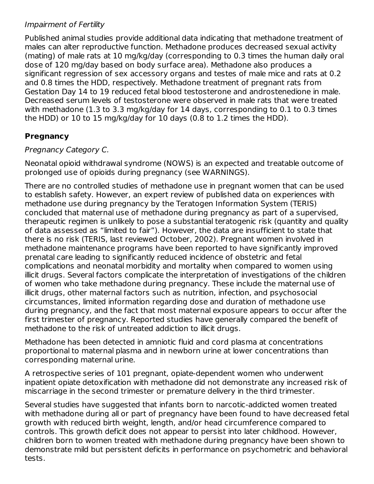#### Impairment of Fertility

Published animal studies provide additional data indicating that methadone treatment of males can alter reproductive function. Methadone produces decreased sexual activity (mating) of male rats at 10 mg/kg/day (corresponding to 0.3 times the human daily oral dose of 120 mg/day based on body surface area). Methadone also produces a significant regression of sex accessory organs and testes of male mice and rats at 0.2 and 0.8 times the HDD, respectively. Methadone treatment of pregnant rats from Gestation Day 14 to 19 reduced fetal blood testosterone and androstenedione in male. Decreased serum levels of testosterone were observed in male rats that were treated with methadone (1.3 to 3.3 mg/kg/day for 14 days, corresponding to 0.1 to 0.3 times the HDD) or 10 to 15 mg/kg/day for 10 days (0.8 to 1.2 times the HDD).

#### **Pregnancy**

#### Pregnancy Category C.

Neonatal opioid withdrawal syndrome (NOWS) is an expected and treatable outcome of prolonged use of opioids during pregnancy (see WARNINGS).

There are no controlled studies of methadone use in pregnant women that can be used to establish safety. However, an expert review of published data on experiences with methadone use during pregnancy by the Teratogen Information System (TERIS) concluded that maternal use of methadone during pregnancy as part of a supervised, therapeutic regimen is unlikely to pose a substantial teratogenic risk (quantity and quality of data assessed as "limited to fair"). However, the data are insufficient to state that there is no risk (TERIS, last reviewed October, 2002). Pregnant women involved in methadone maintenance programs have been reported to have significantly improved prenatal care leading to significantly reduced incidence of obstetric and fetal complications and neonatal morbidity and mortality when compared to women using illicit drugs. Several factors complicate the interpretation of investigations of the children of women who take methadone during pregnancy. These include the maternal use of illicit drugs, other maternal factors such as nutrition, infection, and psychosocial circumstances, limited information regarding dose and duration of methadone use during pregnancy, and the fact that most maternal exposure appears to occur after the first trimester of pregnancy. Reported studies have generally compared the benefit of methadone to the risk of untreated addiction to illicit drugs.

Methadone has been detected in amniotic fluid and cord plasma at concentrations proportional to maternal plasma and in newborn urine at lower concentrations than corresponding maternal urine.

A retrospective series of 101 pregnant, opiate-dependent women who underwent inpatient opiate detoxification with methadone did not demonstrate any increased risk of miscarriage in the second trimester or premature delivery in the third trimester.

Several studies have suggested that infants born to narcotic-addicted women treated with methadone during all or part of pregnancy have been found to have decreased fetal growth with reduced birth weight, length, and/or head circumference compared to controls. This growth deficit does not appear to persist into later childhood. However, children born to women treated with methadone during pregnancy have been shown to demonstrate mild but persistent deficits in performance on psychometric and behavioral tests.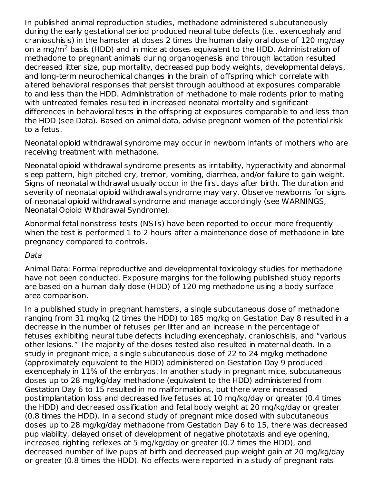In published animal reproduction studies, methadone administered subcutaneously during the early gestational period produced neural tube defects (i.e., exencephaly and cranioschisis) in the hamster at doses 2 times the human daily oral dose of 120 mg/day on a mg/m<sup>2</sup> basis (HDD) and in mice at doses equivalent to the HDD. Administration of methadone to pregnant animals during organogenesis and through lactation resulted decreased litter size, pup mortality, decreased pup body weights, developmental delays, and long-term neurochemical changes in the brain of offspring which correlate with altered behavioral responses that persist through adulthood at exposures comparable to and less than the HDD. Administration of methadone to male rodents prior to mating with untreated females resulted in increased neonatal mortality and significant differences in behavioral tests in the offspring at exposures comparable to and less than the HDD (see Data). Based on animal data, advise pregnant women of the potential risk to a fetus.

Neonatal opioid withdrawal syndrome may occur in newborn infants of mothers who are receiving treatment with methadone.

Neonatal opioid withdrawal syndrome presents as irritability, hyperactivity and abnormal sleep pattern, high pitched cry, tremor, vomiting, diarrhea, and/or failure to gain weight. Signs of neonatal withdrawal usually occur in the first days after birth. The duration and severity of neonatal opioid withdrawal syndrome may vary. Observe newborns for signs of neonatal opioid withdrawal syndrome and manage accordingly (see WARNINGS, Neonatal Opioid Withdrawal Syndrome).

Abnormal fetal nonstress tests (NSTs) have been reported to occur more frequently when the test is performed 1 to 2 hours after a maintenance dose of methadone in late pregnancy compared to controls.

#### Data

Animal Data: Formal reproductive and developmental toxicology studies for methadone have not been conducted. Exposure margins for the following published study reports are based on a human daily dose (HDD) of 120 mg methadone using a body surface area comparison.

In a published study in pregnant hamsters, a single subcutaneous dose of methadone ranging from 31 mg/kg (2 times the HDD) to 185 mg/kg on Gestation Day 8 resulted in a decrease in the number of fetuses per litter and an increase in the percentage of fetuses exhibiting neural tube defects including exencephaly, cranioschisis, and "various other lesions." The majority of the doses tested also resulted in maternal death. In a study in pregnant mice, a single subcutaneous dose of 22 to 24 mg/kg methadone (approximately equivalent to the HDD) administered on Gestation Day 9 produced exencephaly in 11% of the embryos. In another study in pregnant mice, subcutaneous doses up to 28 mg/kg/day methadone (equivalent to the HDD) administered from Gestation Day 6 to 15 resulted in no malformations, but there were increased postimplantation loss and decreased live fetuses at 10 mg/kg/day or greater (0.4 times the HDD) and decreased ossification and fetal body weight at 20 mg/kg/day or greater (0.8 times the HDD). In a second study of pregnant mice dosed with subcutaneous doses up to 28 mg/kg/day methadone from Gestation Day 6 to 15, there was decreased pup viability, delayed onset of development of negative phototaxis and eye opening, increased righting reflexes at 5 mg/kg/day or greater (0.2 times the HDD), and decreased number of live pups at birth and decreased pup weight gain at 20 mg/kg/day or greater (0.8 times the HDD). No effects were reported in a study of pregnant rats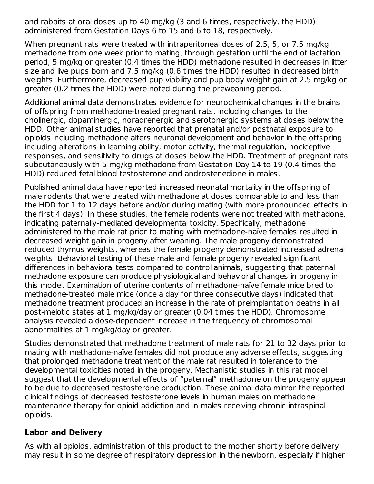and rabbits at oral doses up to 40 mg/kg (3 and 6 times, respectively, the HDD) administered from Gestation Days 6 to 15 and 6 to 18, respectively.

When pregnant rats were treated with intraperitoneal doses of 2.5, 5, or 7.5 mg/kg methadone from one week prior to mating, through gestation until the end of lactation period, 5 mg/kg or greater (0.4 times the HDD) methadone resulted in decreases in litter size and live pups born and 7.5 mg/kg (0.6 times the HDD) resulted in decreased birth weights. Furthermore, decreased pup viability and pup body weight gain at 2.5 mg/kg or greater (0.2 times the HDD) were noted during the preweaning period.

Additional animal data demonstrates evidence for neurochemical changes in the brains of offspring from methadone-treated pregnant rats, including changes to the cholinergic, dopaminergic, noradrenergic and serotonergic systems at doses below the HDD. Other animal studies have reported that prenatal and/or postnatal exposure to opioids including methadone alters neuronal development and behavior in the offspring including alterations in learning ability, motor activity, thermal regulation, nociceptive responses, and sensitivity to drugs at doses below the HDD. Treatment of pregnant rats subcutaneously with 5 mg/kg methadone from Gestation Day 14 to 19 (0.4 times the HDD) reduced fetal blood testosterone and androstenedione in males.

Published animal data have reported increased neonatal mortality in the offspring of male rodents that were treated with methadone at doses comparable to and less than the HDD for 1 to 12 days before and/or during mating (with more pronounced effects in the first 4 days). In these studies, the female rodents were not treated with methadone, indicating paternally-mediated developmental toxicity. Specifically, methadone administered to the male rat prior to mating with methadone-naïve females resulted in decreased weight gain in progeny after weaning. The male progeny demonstrated reduced thymus weights, whereas the female progeny demonstrated increased adrenal weights. Behavioral testing of these male and female progeny revealed significant differences in behavioral tests compared to control animals, suggesting that paternal methadone exposure can produce physiological and behavioral changes in progeny in this model. Examination of uterine contents of methadone-naïve female mice bred to methadone-treated male mice (once a day for three consecutive days) indicated that methadone treatment produced an increase in the rate of preimplantation deaths in all post-meiotic states at 1 mg/kg/day or greater (0.04 times the HDD). Chromosome analysis revealed a dose-dependent increase in the frequency of chromosomal abnormalities at 1 mg/kg/day or greater.

Studies demonstrated that methadone treatment of male rats for 21 to 32 days prior to mating with methadone-naïve females did not produce any adverse effects, suggesting that prolonged methadone treatment of the male rat resulted in tolerance to the developmental toxicities noted in the progeny. Mechanistic studies in this rat model suggest that the developmental effects of "paternal" methadone on the progeny appear to be due to decreased testosterone production. These animal data mirror the reported clinical findings of decreased testosterone levels in human males on methadone maintenance therapy for opioid addiction and in males receiving chronic intraspinal opioids.

#### **Labor and Delivery**

As with all opioids, administration of this product to the mother shortly before delivery may result in some degree of respiratory depression in the newborn, especially if higher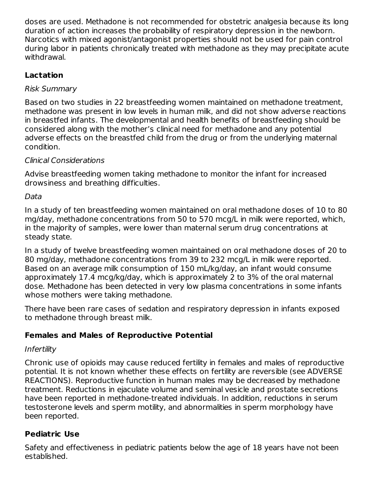doses are used. Methadone is not recommended for obstetric analgesia because its long duration of action increases the probability of respiratory depression in the newborn. Narcotics with mixed agonist/antagonist properties should not be used for pain control during labor in patients chronically treated with methadone as they may precipitate acute withdrawal.

#### **Lactation**

#### Risk Summary

Based on two studies in 22 breastfeeding women maintained on methadone treatment, methadone was present in low levels in human milk, and did not show adverse reactions in breastfed infants. The developmental and health benefits of breastfeeding should be considered along with the mother's clinical need for methadone and any potential adverse effects on the breastfed child from the drug or from the underlying maternal condition.

#### Clinical Considerations

Advise breastfeeding women taking methadone to monitor the infant for increased drowsiness and breathing difficulties.

#### Data

In a study of ten breastfeeding women maintained on oral methadone doses of 10 to 80 mg/day, methadone concentrations from 50 to 570 mcg/L in milk were reported, which, in the majority of samples, were lower than maternal serum drug concentrations at steady state.

In a study of twelve breastfeeding women maintained on oral methadone doses of 20 to 80 mg/day, methadone concentrations from 39 to 232 mcg/L in milk were reported. Based on an average milk consumption of 150 mL/kg/day, an infant would consume approximately 17.4 mcg/kg/day, which is approximately 2 to 3% of the oral maternal dose. Methadone has been detected in very low plasma concentrations in some infants whose mothers were taking methadone.

There have been rare cases of sedation and respiratory depression in infants exposed to methadone through breast milk.

## **Females and Males of Reproductive Potential**

#### Infertility

Chronic use of opioids may cause reduced fertility in females and males of reproductive potential. It is not known whether these effects on fertility are reversible (see ADVERSE REACTIONS). Reproductive function in human males may be decreased by methadone treatment. Reductions in ejaculate volume and seminal vesicle and prostate secretions have been reported in methadone-treated individuals. In addition, reductions in serum testosterone levels and sperm motility, and abnormalities in sperm morphology have been reported.

#### **Pediatric Use**

Safety and effectiveness in pediatric patients below the age of 18 years have not been established.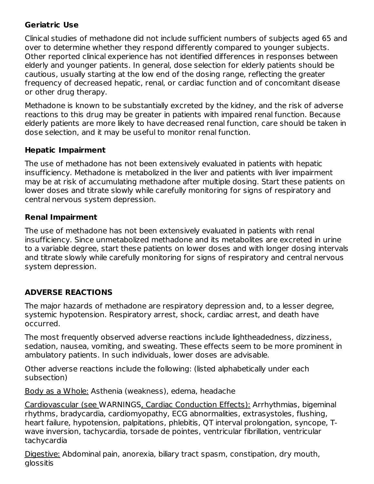#### **Geriatric Use**

Clinical studies of methadone did not include sufficient numbers of subjects aged 65 and over to determine whether they respond differently compared to younger subjects. Other reported clinical experience has not identified differences in responses between elderly and younger patients. In general, dose selection for elderly patients should be cautious, usually starting at the low end of the dosing range, reflecting the greater frequency of decreased hepatic, renal, or cardiac function and of concomitant disease or other drug therapy.

Methadone is known to be substantially excreted by the kidney, and the risk of adverse reactions to this drug may be greater in patients with impaired renal function. Because elderly patients are more likely to have decreased renal function, care should be taken in dose selection, and it may be useful to monitor renal function.

#### **Hepatic Impairment**

The use of methadone has not been extensively evaluated in patients with hepatic insufficiency. Methadone is metabolized in the liver and patients with liver impairment may be at risk of accumulating methadone after multiple dosing. Start these patients on lower doses and titrate slowly while carefully monitoring for signs of respiratory and central nervous system depression.

#### **Renal Impairment**

The use of methadone has not been extensively evaluated in patients with renal insufficiency. Since unmetabolized methadone and its metabolites are excreted in urine to a variable degree, start these patients on lower doses and with longer dosing intervals and titrate slowly while carefully monitoring for signs of respiratory and central nervous system depression.

## **ADVERSE REACTIONS**

The major hazards of methadone are respiratory depression and, to a lesser degree, systemic hypotension. Respiratory arrest, shock, cardiac arrest, and death have occurred.

The most frequently observed adverse reactions include lightheadedness, dizziness, sedation, nausea, vomiting, and sweating. These effects seem to be more prominent in ambulatory patients. In such individuals, lower doses are advisable.

Other adverse reactions include the following: (listed alphabetically under each subsection)

Body as a Whole: Asthenia (weakness), edema, headache

Cardiovascular (see WARNINGS, Cardiac Conduction Effects): Arrhythmias, bigeminal rhythms, bradycardia, cardiomyopathy, ECG abnormalities, extrasystoles, flushing, heart failure, hypotension, palpitations, phlebitis, QT interval prolongation, syncope, Twave inversion, tachycardia, torsade de pointes, ventricular fibrillation, ventricular tachycardia

Digestive: Abdominal pain, anorexia, biliary tract spasm, constipation, dry mouth, glossitis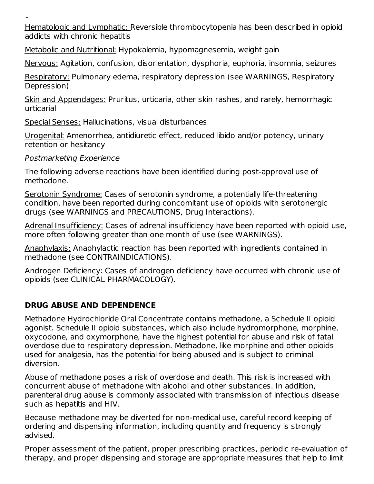glossitis

Hematologic and Lymphatic: Reversible thrombocytopenia has been described in opioid addicts with chronic hepatitis

Metabolic and Nutritional: Hypokalemia, hypomagnesemia, weight gain

Nervous: Agitation, confusion, disorientation, dysphoria, euphoria, insomnia, seizures

Respiratory: Pulmonary edema, respiratory depression (see WARNINGS, Respiratory Depression)

Skin and Appendages: Pruritus, urticaria, other skin rashes, and rarely, hemorrhagic urticarial

Special Senses: Hallucinations, visual disturbances

Urogenital: Amenorrhea, antidiuretic effect, reduced libido and/or potency, urinary retention or hesitancy

Postmarketing Experience

The following adverse reactions have been identified during post-approval use of methadone.

Serotonin Syndrome: Cases of serotonin syndrome, a potentially life-threatening condition, have been reported during concomitant use of opioids with serotonergic drugs (see WARNINGS and PRECAUTIONS, Drug Interactions).

Adrenal Insufficiency: Cases of adrenal insufficiency have been reported with opioid use, more often following greater than one month of use (see WARNINGS).

Anaphylaxis: Anaphylactic reaction has been reported with ingredients contained in methadone (see CONTRAINDICATIONS).

Androgen Deficiency: Cases of androgen deficiency have occurred with chronic use of opioids (see CLINICAL PHARMACOLOGY).

# **DRUG ABUSE AND DEPENDENCE**

Methadone Hydrochloride Oral Concentrate contains methadone, a Schedule II opioid agonist. Schedule II opioid substances, which also include hydromorphone, morphine, oxycodone, and oxymorphone, have the highest potential for abuse and risk of fatal overdose due to respiratory depression. Methadone, like morphine and other opioids used for analgesia, has the potential for being abused and is subject to criminal diversion.

Abuse of methadone poses a risk of overdose and death. This risk is increased with concurrent abuse of methadone with alcohol and other substances. In addition, parenteral drug abuse is commonly associated with transmission of infectious disease such as hepatitis and HIV.

Because methadone may be diverted for non-medical use, careful record keeping of ordering and dispensing information, including quantity and frequency is strongly advised.

Proper assessment of the patient, proper prescribing practices, periodic re-evaluation of therapy, and proper dispensing and storage are appropriate measures that help to limit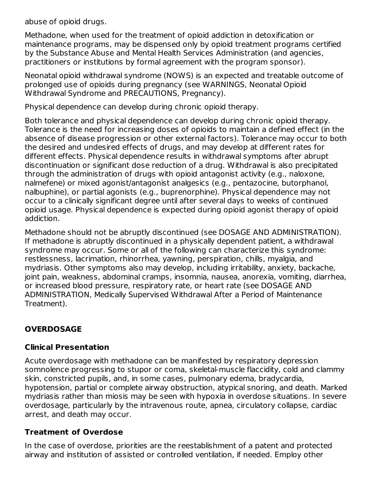abuse of opioid drugs.

Methadone, when used for the treatment of opioid addiction in detoxification or maintenance programs, may be dispensed only by opioid treatment programs certified by the Substance Abuse and Mental Health Services Administration (and agencies, practitioners or institutions by formal agreement with the program sponsor).

Neonatal opioid withdrawal syndrome (NOWS) is an expected and treatable outcome of prolonged use of opioids during pregnancy (see WARNINGS, Neonatal Opioid Withdrawal Syndrome and PRECAUTIONS, Pregnancy).

Physical dependence can develop during chronic opioid therapy.

Both tolerance and physical dependence can develop during chronic opioid therapy. Tolerance is the need for increasing doses of opioids to maintain a defined effect (in the absence of disease progression or other external factors). Tolerance may occur to both the desired and undesired effects of drugs, and may develop at different rates for different effects. Physical dependence results in withdrawal symptoms after abrupt discontinuation or significant dose reduction of a drug. Withdrawal is also precipitated through the administration of drugs with opioid antagonist activity (e.g., naloxone, nalmefene) or mixed agonist/antagonist analgesics (e.g., pentazocine, butorphanol, nalbuphine), or partial agonists (e.g., buprenorphine). Physical dependence may not occur to a clinically significant degree until after several days to weeks of continued opioid usage. Physical dependence is expected during opioid agonist therapy of opioid addiction.

Methadone should not be abruptly discontinued (see DOSAGE AND ADMINISTRATION). If methadone is abruptly discontinued in a physically dependent patient, a withdrawal syndrome may occur. Some or all of the following can characterize this syndrome: restlessness, lacrimation, rhinorrhea, yawning, perspiration, chills, myalgia, and mydriasis. Other symptoms also may develop, including irritability, anxiety, backache, joint pain, weakness, abdominal cramps, insomnia, nausea, anorexia, vomiting, diarrhea, or increased blood pressure, respiratory rate, or heart rate (see DOSAGE AND ADMINISTRATION, Medically Supervised Withdrawal After a Period of Maintenance Treatment).

## **OVERDOSAGE**

## **Clinical Presentation**

Acute overdosage with methadone can be manifested by respiratory depression somnolence progressing to stupor or coma, skeletal-muscle flaccidity, cold and clammy skin, constricted pupils, and, in some cases, pulmonary edema, bradycardia, hypotension, partial or complete airway obstruction, atypical snoring, and death. Marked mydriasis rather than miosis may be seen with hypoxia in overdose situations. In severe overdosage, particularly by the intravenous route, apnea, circulatory collapse, cardiac arrest, and death may occur.

## **Treatment of Overdose**

In the case of overdose, priorities are the reestablishment of a patent and protected airway and institution of assisted or controlled ventilation, if needed. Employ other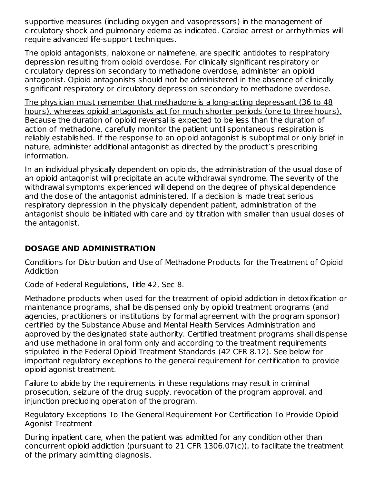supportive measures (including oxygen and vasopressors) in the management of circulatory shock and pulmonary edema as indicated. Cardiac arrest or arrhythmias will require advanced life-support techniques.

The opioid antagonists, naloxone or nalmefene, are specific antidotes to respiratory depression resulting from opioid overdose. For clinically significant respiratory or circulatory depression secondary to methadone overdose, administer an opioid antagonist. Opioid antagonists should not be administered in the absence of clinically significant respiratory or circulatory depression secondary to methadone overdose.

The physician must remember that methadone is a long-acting depressant (36 to 48 hours), whereas opioid antagonists act for much shorter periods (one to three hours). Because the duration of opioid reversal is expected to be less than the duration of action of methadone, carefully monitor the patient until spontaneous respiration is reliably established. If the response to an opioid antagonist is suboptimal or only brief in nature, administer additional antagonist as directed by the product's prescribing information.

In an individual physically dependent on opioids, the administration of the usual dose of an opioid antagonist will precipitate an acute withdrawal syndrome. The severity of the withdrawal symptoms experienced will depend on the degree of physical dependence and the dose of the antagonist administered. If a decision is made treat serious respiratory depression in the physically dependent patient, administration of the antagonist should be initiated with care and by titration with smaller than usual doses of the antagonist.

## **DOSAGE AND ADMINISTRATION**

Conditions for Distribution and Use of Methadone Products for the Treatment of Opioid Addiction

Code of Federal Regulations, Title 42, Sec 8.

Methadone products when used for the treatment of opioid addiction in detoxification or maintenance programs, shall be dispensed only by opioid treatment programs (and agencies, practitioners or institutions by formal agreement with the program sponsor) certified by the Substance Abuse and Mental Health Services Administration and approved by the designated state authority. Certified treatment programs shall dispense and use methadone in oral form only and according to the treatment requirements stipulated in the Federal Opioid Treatment Standards (42 CFR 8.12). See below for important regulatory exceptions to the general requirement for certification to provide opioid agonist treatment.

Failure to abide by the requirements in these regulations may result in criminal prosecution, seizure of the drug supply, revocation of the program approval, and injunction precluding operation of the program.

Regulatory Exceptions To The General Requirement For Certification To Provide Opioid Agonist Treatment

During inpatient care, when the patient was admitted for any condition other than concurrent opioid addiction (pursuant to 21 CFR 1306.07(c)), to facilitate the treatment of the primary admitting diagnosis.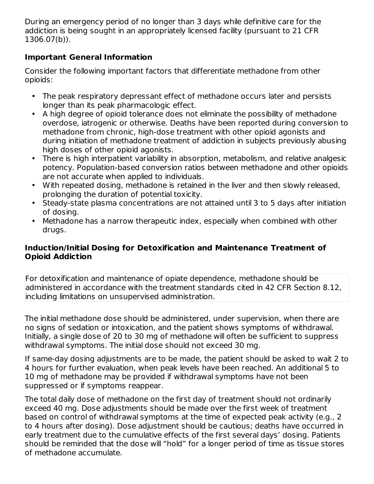During an emergency period of no longer than 3 days while definitive care for the addiction is being sought in an appropriately licensed facility (pursuant to 21 CFR 1306.07(b)).

#### **Important General Information**

Consider the following important factors that differentiate methadone from other opioids:

- The peak respiratory depressant effect of methadone occurs later and persists longer than its peak pharmacologic effect.
- A high degree of opioid tolerance does not eliminate the possibility of methadone overdose, iatrogenic or otherwise. Deaths have been reported during conversion to methadone from chronic, high-dose treatment with other opioid agonists and during initiation of methadone treatment of addiction in subjects previously abusing high doses of other opioid agonists.
- There is high interpatient variability in absorption, metabolism, and relative analgesic potency. Population-based conversion ratios between methadone and other opioids are not accurate when applied to individuals.
- With repeated dosing, methadone is retained in the liver and then slowly released, prolonging the duration of potential toxicity.
- Steady-state plasma concentrations are not attained until 3 to 5 days after initiation of dosing.
- Methadone has a narrow therapeutic index, especially when combined with other drugs.

#### **Induction/Initial Dosing for Detoxification and Maintenance Treatment of Opioid Addiction**

For detoxification and maintenance of opiate dependence, methadone should be administered in accordance with the treatment standards cited in 42 CFR Section 8.12, including limitations on unsupervised administration.

The initial methadone dose should be administered, under supervision, when there are no signs of sedation or intoxication, and the patient shows symptoms of withdrawal. Initially, a single dose of 20 to 30 mg of methadone will often be sufficient to suppress withdrawal symptoms. The initial dose should not exceed 30 mg.

If same-day dosing adjustments are to be made, the patient should be asked to wait 2 to 4 hours for further evaluation, when peak levels have been reached. An additional 5 to 10 mg of methadone may be provided if withdrawal symptoms have not been suppressed or if symptoms reappear.

The total daily dose of methadone on the first day of treatment should not ordinarily exceed 40 mg. Dose adjustments should be made over the first week of treatment based on control of withdrawal symptoms at the time of expected peak activity (e.g., 2 to 4 hours after dosing). Dose adjustment should be cautious; deaths have occurred in early treatment due to the cumulative effects of the first several days' dosing. Patients should be reminded that the dose will "hold" for a longer period of time as tissue stores of methadone accumulate.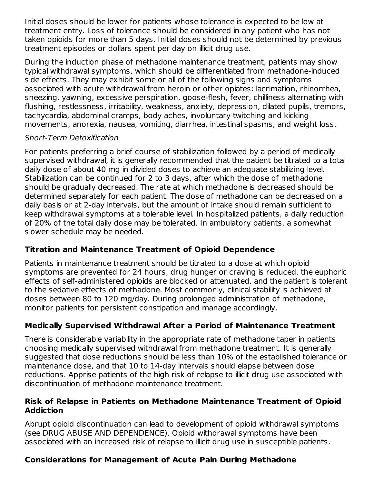Initial doses should be lower for patients whose tolerance is expected to be low at treatment entry. Loss of tolerance should be considered in any patient who has not taken opioids for more than 5 days. Initial doses should not be determined by previous treatment episodes or dollars spent per day on illicit drug use.

During the induction phase of methadone maintenance treatment, patients may show typical withdrawal symptoms, which should be differentiated from methadone-induced side effects. They may exhibit some or all of the following signs and symptoms associated with acute withdrawal from heroin or other opiates: lacrimation, rhinorrhea, sneezing, yawning, excessive perspiration, goose-flesh, fever, chilliness alternating with flushing, restlessness, irritability, weakness, anxiety, depression, dilated pupils, tremors, tachycardia, abdominal cramps, body aches, involuntary twitching and kicking movements, anorexia, nausea, vomiting, diarrhea, intestinal spasms, and weight loss.

#### Short-Term Detoxification

For patients preferring a brief course of stabilization followed by a period of medically supervised withdrawal, it is generally recommended that the patient be titrated to a total daily dose of about 40 mg in divided doses to achieve an adequate stabilizing level. Stabilization can be continued for 2 to 3 days, after which the dose of methadone should be gradually decreased. The rate at which methadone is decreased should be determined separately for each patient. The dose of methadone can be decreased on a daily basis or at 2-day intervals, but the amount of intake should remain sufficient to keep withdrawal symptoms at a tolerable level. In hospitalized patients, a daily reduction of 20% of the total daily dose may be tolerated. In ambulatory patients, a somewhat slower schedule may be needed.

## **Titration and Maintenance Treatment of Opioid Dependence**

Patients in maintenance treatment should be titrated to a dose at which opioid symptoms are prevented for 24 hours, drug hunger or craving is reduced, the euphoric effects of self-administered opioids are blocked or attenuated, and the patient is tolerant to the sedative effects of methadone. Most commonly, clinical stability is achieved at doses between 80 to 120 mg/day. During prolonged administration of methadone, monitor patients for persistent constipation and manage accordingly.

## **Medically Supervised Withdrawal After a Period of Maintenance Treatment**

There is considerable variability in the appropriate rate of methadone taper in patients choosing medically supervised withdrawal from methadone treatment. It is generally suggested that dose reductions should be less than 10% of the established tolerance or maintenance dose, and that 10 to 14-day intervals should elapse between dose reductions. Apprise patients of the high risk of relapse to illicit drug use associated with discontinuation of methadone maintenance treatment.

#### **Risk of Relapse in Patients on Methadone Maintenance Treatment of Opioid Addiction**

Abrupt opioid discontinuation can lead to development of opioid withdrawal symptoms (see DRUG ABUSE AND DEPENDENCE). Opioid withdrawal symptoms have been associated with an increased risk of relapse to illicit drug use in susceptible patients.

# **Considerations for Management of Acute Pain During Methadone**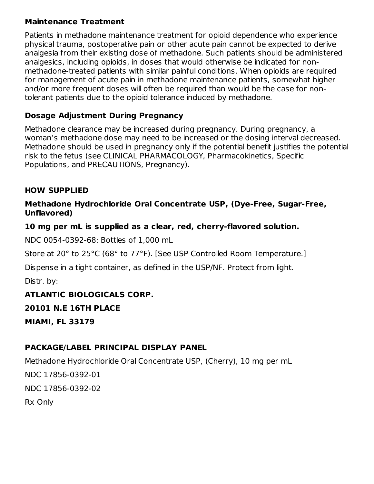#### **Maintenance Treatment**

Patients in methadone maintenance treatment for opioid dependence who experience physical trauma, postoperative pain or other acute pain cannot be expected to derive analgesia from their existing dose of methadone. Such patients should be administered analgesics, including opioids, in doses that would otherwise be indicated for nonmethadone-treated patients with similar painful conditions. When opioids are required for management of acute pain in methadone maintenance patients, somewhat higher and/or more frequent doses will often be required than would be the case for nontolerant patients due to the opioid tolerance induced by methadone.

#### **Dosage Adjustment During Pregnancy**

Methadone clearance may be increased during pregnancy. During pregnancy, a woman's methadone dose may need to be increased or the dosing interval decreased. Methadone should be used in pregnancy only if the potential benefit justifies the potential risk to the fetus (see CLINICAL PHARMACOLOGY, Pharmacokinetics, Specific Populations, and PRECAUTIONS, Pregnancy).

#### **HOW SUPPLIED**

#### **Methadone Hydrochloride Oral Concentrate USP, (Dye-Free, Sugar-Free, Unflavored)**

#### **10 mg per mL is supplied as a clear, red, cherry-flavored solution.**

NDC 0054-0392-68: Bottles of 1,000 mL

Store at 20° to 25°C (68° to 77°F). [See USP Controlled Room Temperature.]

Dispense in a tight container, as defined in the USP/NF. Protect from light.

Distr. by:

## **ATLANTIC BIOLOGICALS CORP.**

**20101 N.E 16TH PLACE**

**MIAMI, FL 33179**

## **PACKAGE/LABEL PRINCIPAL DISPLAY PANEL**

Methadone Hydrochloride Oral Concentrate USP, (Cherry), 10 mg per mL

NDC 17856-0392-01 NDC 17856-0392-02 Rx Only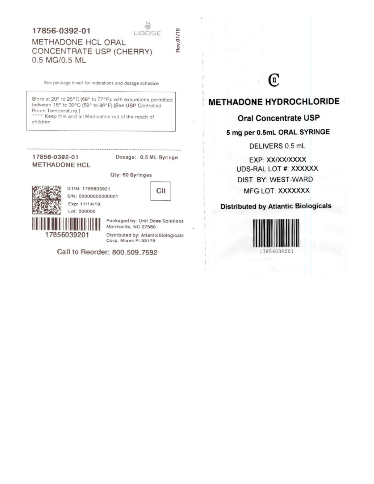#### 17856-0392-01

Rev.01/19

## METHADONE HCL ORAL CONCENTRATE USP (CHERRY) 0.5 MG/0.5 ML

See package insert for indications and dosage schedule

Store at 20° to 25°C (68° to 77°F); with excursions permitted between 15° to 30°C (59° to 86°F).[See USP Controlled Room Temperature.]

\*\*\*\* Keep this and all Medication out of the reach of children

#### 17856-0392-01 **METHADONE HCL**

Dosage: 0.5 ML Syringe

Qty: 60 Syringes



GTIN: 1785603921 S/N: 00000000000001 Exp: 11/14/19

CII

17856039201

Packaged by: Unit Dose Solutions Morrisville, NC 27560

Distributed by: AtlanticBiologicals Corp, Miami FI 33179

Call to Reorder: 800.509.7592

# T

#### **METHADONE HYDROCHLORIDE**

#### **Oral Concentrate USP**

#### 5 mg per 0.5mL ORAL SYRINGE

DELIVERS 0.5 mL

EXP: XX/XX/XXXX UDS-RAL LOT #: XXXXXX DIST. BY: WEST-WARD **MFG LOT: XXXXXXX** 

**Distributed by Atlantic Biologicals** 

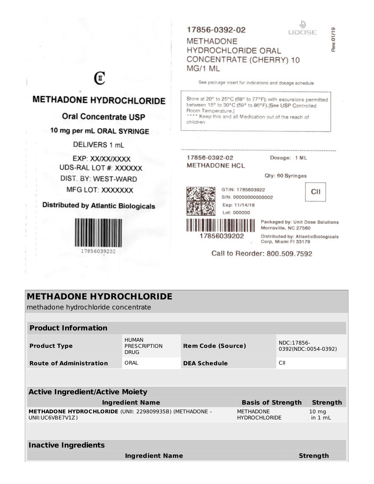#### 17856-0392-02

**HYDROCHLORIDE ORAL** 

CONCENTRATE (CHERRY) 10

GTIN: 1785603922

Exp: 11/14/19 Lot: 000000

S/N: 00000000000002

**METHADONE** 

MG/1 ML

43 **UDCEE** 

# Rev.01/19

# Œ

# **METHADONE HYDROCHLORIDE**

#### Oral Concentrate USP

#### 10 mg per mL ORAL SYRINGE

DELIVERS 1 mL

EXP: XX/XX/XXXX UDS-RAL LOT #: XXXXXX DIST. BY: WEST-WARD MFG LOT: XXXXXXX

**Distributed by Atlantic Biologicals** 



#### See package insert for indications and dosage schedule

Store at 20° to 25°C (68° to 77°F); with excursions permitted between 15° to 30°C (59° to 86°F). [See USP Controlled Room Temperature.] \*\*\*\* Keep this and all Medication out of the reach of children

#### 17856-0392-02 **METHADONE HCL**

17856039202

Dosage: 1 ML

Qty: 60 Syringes



Packaged by: Unit Dose Solutions Morrisville, NC 27560

Distributed by: AtlanticBiologicals Corp, Miami FI 33179

#### Call to Reorder: 800.509.7592

| <b>METHADONE HYDROCHLORIDE</b><br>methadone hydrochloride concentrate              |                                                    |                           |                                          |                                   |                         |  |
|------------------------------------------------------------------------------------|----------------------------------------------------|---------------------------|------------------------------------------|-----------------------------------|-------------------------|--|
|                                                                                    |                                                    |                           |                                          |                                   |                         |  |
| <b>Product Information</b>                                                         |                                                    |                           |                                          |                                   |                         |  |
| <b>Product Type</b>                                                                | <b>HUMAN</b><br><b>PRESCRIPTION</b><br><b>DRUG</b> | <b>Item Code (Source)</b> |                                          | NDC:17856-<br>0392(NDC:0054-0392) |                         |  |
| <b>Route of Administration</b>                                                     | ORAI                                               | <b>DEA Schedule</b>       |                                          | CII                               |                         |  |
|                                                                                    |                                                    |                           |                                          |                                   |                         |  |
| <b>Active Ingredient/Active Moiety</b>                                             |                                                    |                           |                                          |                                   |                         |  |
| <b>Ingredient Name</b><br><b>Basis of Strength</b>                                 |                                                    |                           |                                          |                                   | <b>Strength</b>         |  |
| <b>METHADONE HYDROCHLORIDE (UNII: 229809935B) (METHADONE -</b><br>UNII:UC6VBE7V1Z) |                                                    |                           | <b>MFTHADONF</b><br><b>HYDROCHLORIDE</b> |                                   | $10 \, mg$<br>in $1 mL$ |  |
|                                                                                    |                                                    |                           |                                          |                                   |                         |  |
| <b>Inactive Ingredients</b>                                                        |                                                    |                           |                                          |                                   |                         |  |
|                                                                                    | <b>Ingredient Name</b>                             |                           |                                          |                                   | <b>Strength</b>         |  |